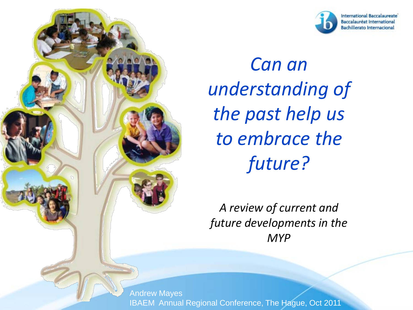



*Can an understanding of the past help us to embrace the future?*

*A review of current and future developments in the MYP*

Andrew Mayes IBAEM Annual Regional Conference, The Hague, Oct 2011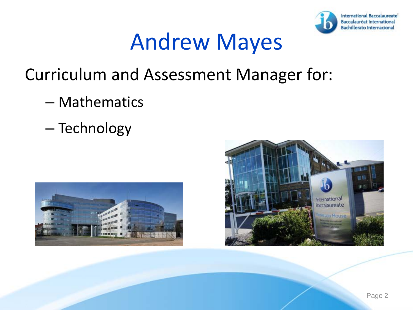

### Andrew Mayes

#### Curriculum and Assessment Manager for:

- Mathematics
- Technology



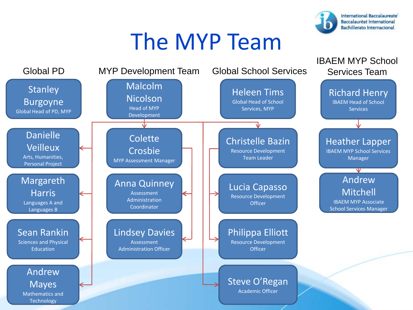

### The MYP Team

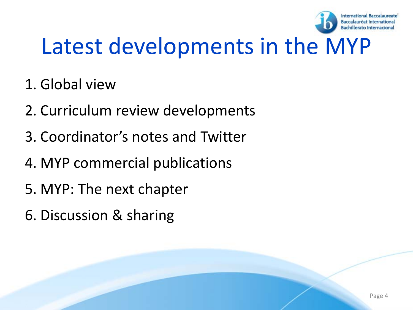

### Latest developments in the MYP

- 1. Global view
- 2. Curriculum review developments
- 3. Coordinator's notes and Twitter
- 4. MYP commercial publications
- 5. MYP: The next chapter
- 6. Discussion & sharing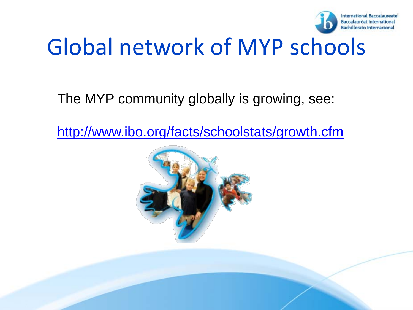

### Global network of MYP schools

The MYP community globally is growing, see:

<http://www.ibo.org/facts/schoolstats/growth.cfm>

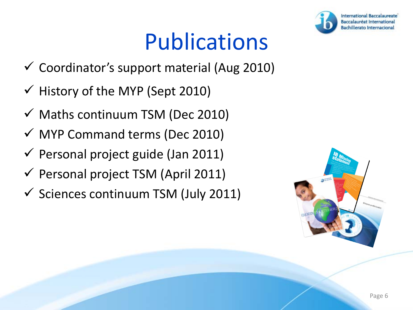### Publications

- $\checkmark$  Coordinator's support material (Aug 2010)
- $\checkmark$  History of the MYP (Sept 2010)
- $\checkmark$  Maths continuum TSM (Dec 2010)
- $\checkmark$  MYP Command terms (Dec 2010)
- $\checkmark$  Personal project guide (Jan 2011)
- $\checkmark$  Personal project TSM (April 2011)
- $\checkmark$  Sciences continuum TSM (July 2011)



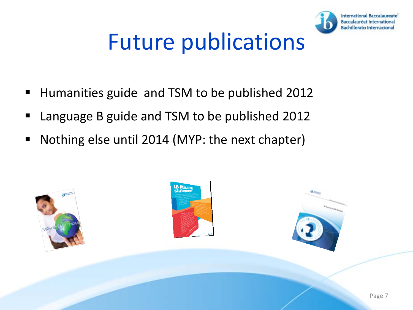

### Future publications

- Humanities guide and TSM to be published 2012
- Language B guide and TSM to be published 2012
- Nothing else until 2014 (MYP: the next chapter)

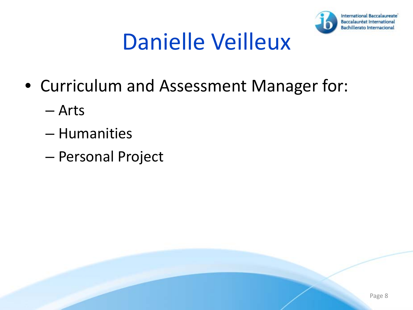

### Danielle Veilleux

- Curriculum and Assessment Manager for:
	- Arts
	- Humanities
	- Personal Project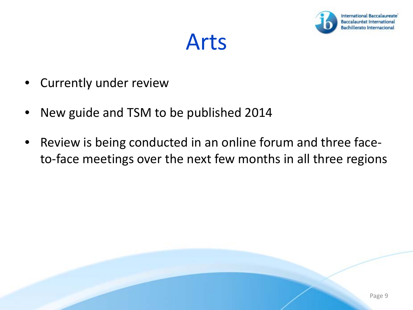

Arts

- Currently under review
- New guide and TSM to be published 2014
- Review is being conducted in an online forum and three faceto-face meetings over the next few months in all three regions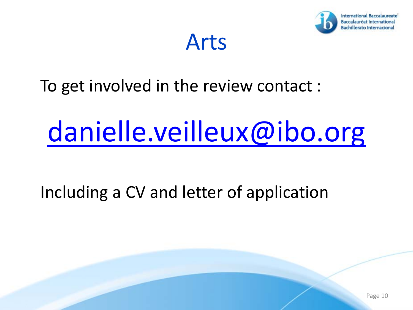

Arts

#### To get involved in the review contact :

## [danielle.veilleux@ibo.org](mailto:danielle.veilleux@ibo.org)

#### Including a CV and letter of application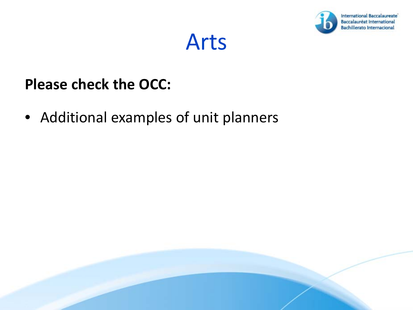



#### **Please check the OCC:**

• Additional examples of unit planners

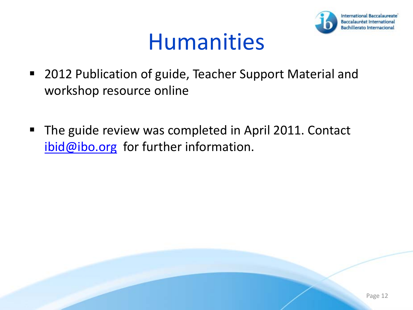

- 2012 Publication of guide, Teacher Support Material and workshop resource online
- The guide review was completed in April 2011. Contact  $ibid@ibo.org$  for further information.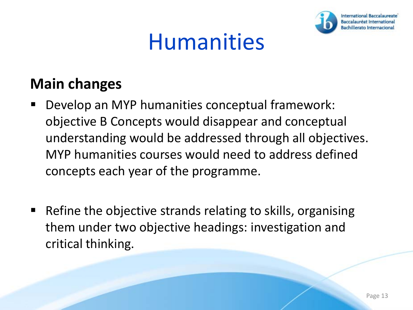

#### **Main changes**

- Develop an MYP humanities conceptual framework: objective B Concepts would disappear and conceptual understanding would be addressed through all objectives. MYP humanities courses would need to address defined concepts each year of the programme.
- Refine the objective strands relating to skills, organising them under two objective headings: investigation and critical thinking.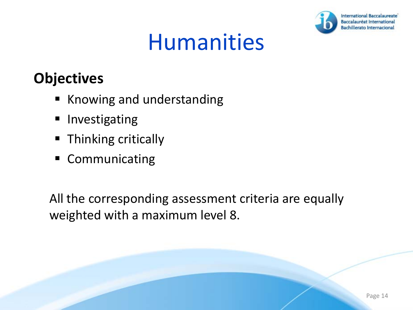

#### **Objectives**

- **Knowing and understanding**
- **Investigating**
- **Thinking critically**
- **Communicating**

All the corresponding assessment criteria are equally weighted with a maximum level 8.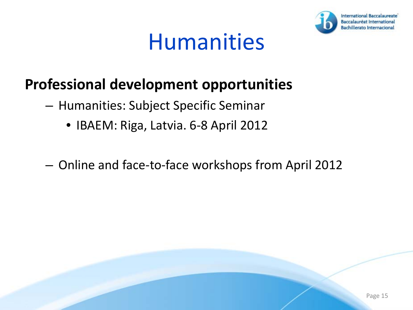

#### **Professional development opportunities**

- Humanities: Subject Specific Seminar
	- IBAEM: Riga, Latvia. 6-8 April 2012
- Online and face-to-face workshops from April 2012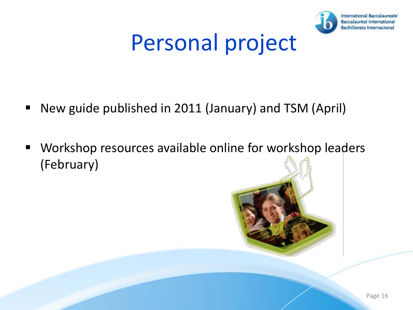

### Personal project

- New guide published in 2011 (January) and TSM (April)
- **Workshop resources available online for workshop leaders** (February)

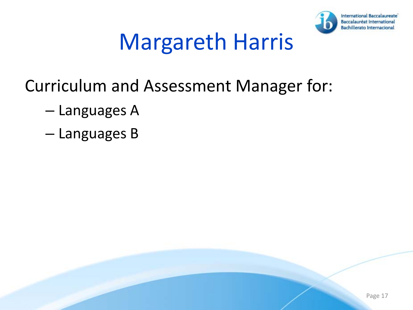

### Margareth Harris

- Curriculum and Assessment Manager for:
	- Languages A
	- Languages B

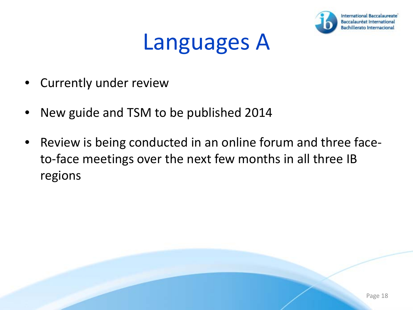

- Currently under review
- New guide and TSM to be published 2014
- Review is being conducted in an online forum and three faceto-face meetings over the next few months in all three IB regions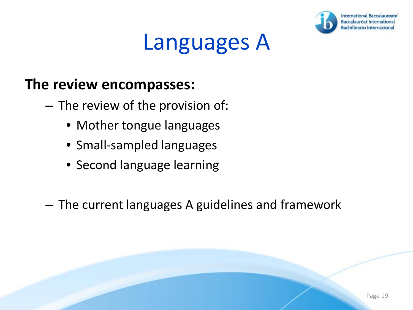

#### **The review encompasses:**

- The review of the provision of:
	- Mother tongue languages
	- Small-sampled languages
	- Second language learning
- The current languages A guidelines and framework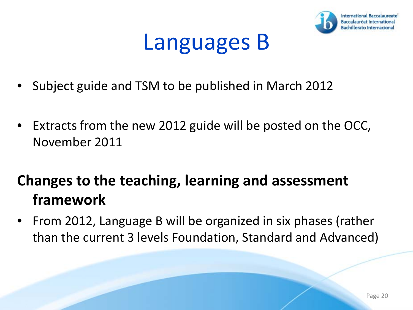

- Subject guide and TSM to be published in March 2012
- Extracts from the new 2012 guide will be posted on the OCC, November 2011

#### **Changes to the teaching, learning and assessment framework**

• From 2012, Language B will be organized in six phases (rather than the current 3 levels Foundation, Standard and Advanced)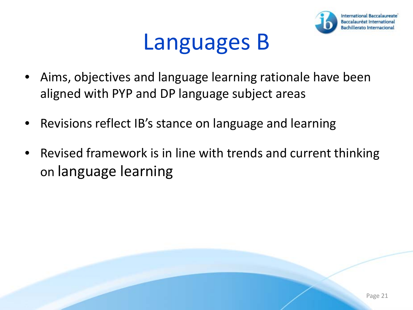

- Aims, objectives and language learning rationale have been aligned with PYP and DP language subject areas
- Revisions reflect IB's stance on language and learning
- Revised framework is in line with trends and current thinking on language learning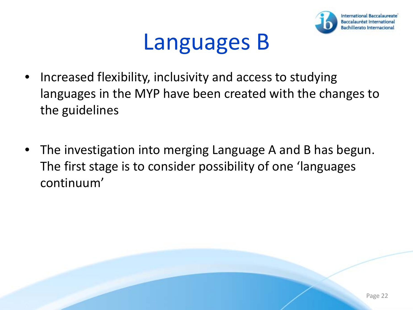

- Increased flexibility, inclusivity and access to studying languages in the MYP have been created with the changes to the guidelines
- The investigation into merging Language A and B has begun. The first stage is to consider possibility of one 'languages continuum'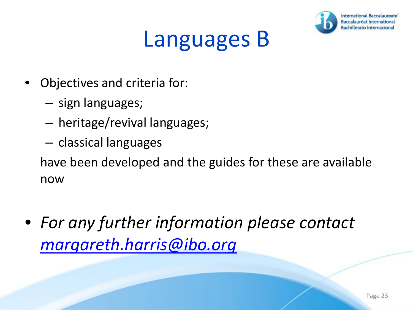

- Objectives and criteria for:
	- sign languages;
	- heritage/revival languages;
	- classical languages

have been developed and the guides for these are available now

• *For any further information please contact [margareth.harris@ibo.org](mailto:margareth.harris@ibo.org)*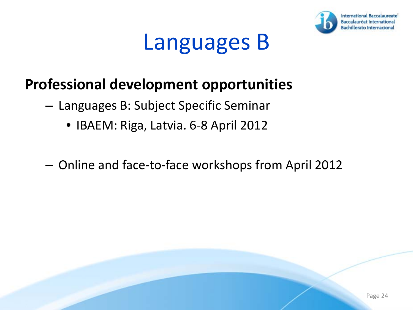

#### **Professional development opportunities**

- Languages B: Subject Specific Seminar
	- IBAEM: Riga, Latvia. 6-8 April 2012
- Online and face-to-face workshops from April 2012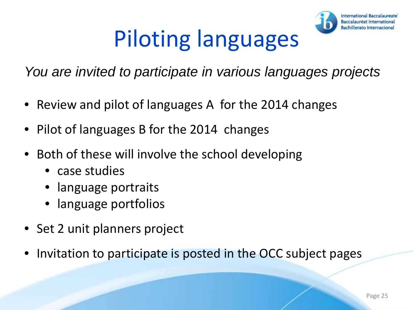## Piloting languages



*You are invited to participate in various languages projects*

- Review and pilot of languages A for the 2014 changes
- Pilot of languages B for the 2014 changes
- Both of these will involve the school developing
	- case studies
	- language portraits
	- language portfolios
- Set 2 unit planners project
- Invitation to participate is posted in the OCC subject pages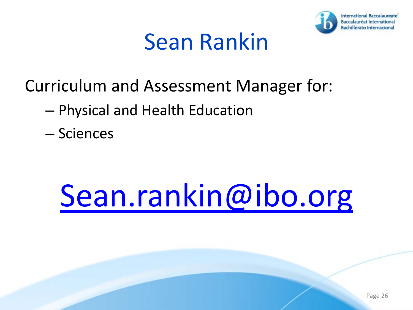

#### Sean Rankin

- Curriculum and Assessment Manager for:
	- Physical and Health Education
	- Sciences

## [Sean.rankin@ibo.org](mailto:Sean.rankin@ibo.org)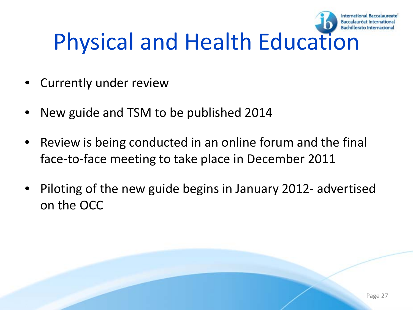#### Baccalauréat Internationa Physical and Health Education

- Currently under review
- New guide and TSM to be published 2014
- Review is being conducted in an online forum and the final face-to-face meeting to take place in December 2011
- Piloting of the new guide begins in January 2012- advertised on the OCC

**International Baccalaureate**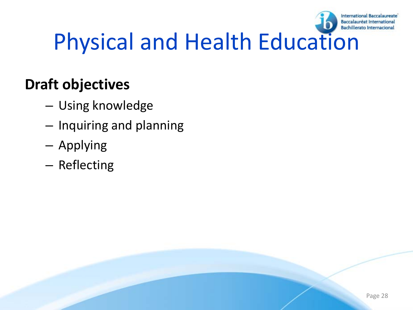

## Physical and Health Education

#### **Draft objectives**

- Using knowledge
- Inquiring and planning
- Applying
- Reflecting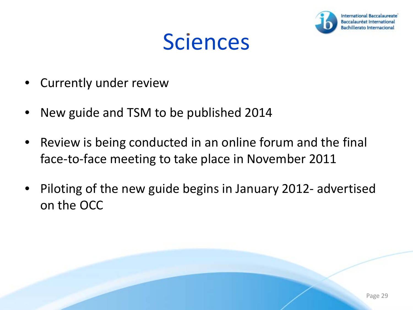

#### **Sciences**

- Currently under review
- New guide and TSM to be published 2014
- Review is being conducted in an online forum and the final face-to-face meeting to take place in November 2011
- Piloting of the new guide begins in January 2012- advertised on the OCC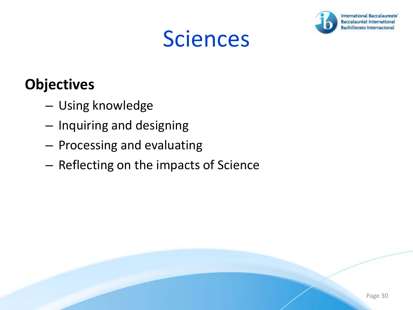### Sciences



#### **Objectives**

- Using knowledge
- Inquiring and designing
- Processing and evaluating
- Reflecting on the impacts of Science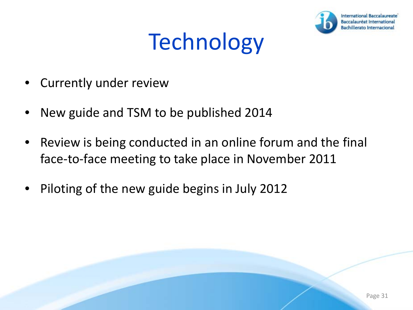

- **Currently under review**
- New guide and TSM to be published 2014
- Review is being conducted in an online forum and the final face-to-face meeting to take place in November 2011
- Piloting of the new guide begins in July 2012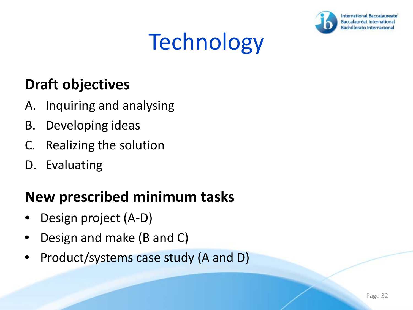

#### **Draft objectives**

- A. Inquiring and analysing
- B. Developing ideas
- C. Realizing the solution
- D. Evaluating

#### **New prescribed minimum tasks**

- Design project (A-D)
- Design and make (B and C)
- Product/systems case study (A and D)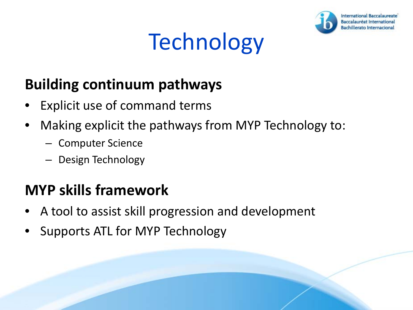

#### **Building continuum pathways**

- Explicit use of command terms
- Making explicit the pathways from MYP Technology to:
	- Computer Science
	- Design Technology

#### **MYP skills framework**

- A tool to assist skill progression and development
- Supports ATL for MYP Technology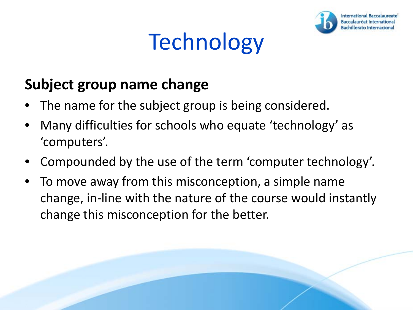

#### **Subject group name change**

- The name for the subject group is being considered.
- Many difficulties for schools who equate 'technology' as 'computers'.
- Compounded by the use of the term 'computer technology'.
- To move away from this misconception, a simple name change, in-line with the nature of the course would instantly change this misconception for the better.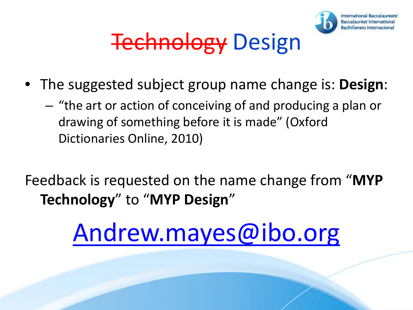

### **Technology Design**

- The suggested subject group name change is: **Design**:
	- "the art or action of conceiving of and producing a plan or drawing of something before it is made" (Oxford Dictionaries Online, 2010)
- Feedback is requested on the name change from "**MYP Technology**" to "**MYP Design**"

### [Andrew.mayes@ibo.org](mailto:Andrew.mayes@ibo.org)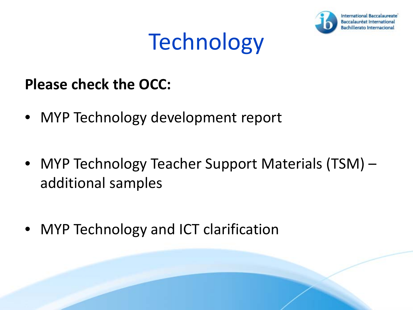

#### **Please check the OCC:**

- MYP Technology development report
- MYP Technology Teacher Support Materials (TSM) additional samples
- MYP Technology and ICT clarification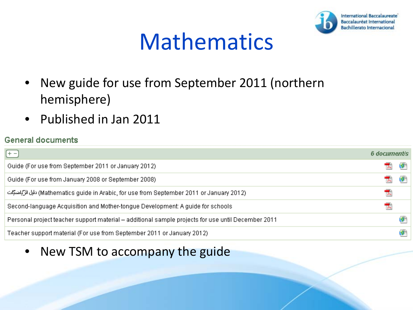

### Mathematics

- New guide for use from September 2011 (northern hemisphere)
- Published in Jan 2011

#### **General documents**

| $(+ -$                                                                                             | 6 document/s |  |
|----------------------------------------------------------------------------------------------------|--------------|--|
| Guide (For use from September 2011 or January 2012)                                                |              |  |
| Guide (For use from January 2008 or September 2008)                                                |              |  |
| (Mathematics guide in Arabic, for use from September 2011 or January 2012) دليل الرَّبَّاضنَّيَّات | TA.          |  |
| Second-language Acquisition and Mother-tongue Development: A guide for schools                     |              |  |
| Personal project teacher support material – additional sample projects for use until December 2011 |              |  |
| Teacher support material (For use from September 2011 or January 2012)                             |              |  |

• New TSM to accompany the guide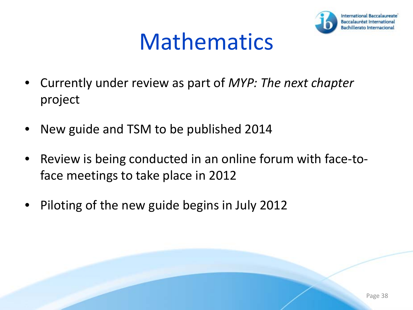

### Mathematics

- Currently under review as part of *MYP: The next chapter*  project
- New guide and TSM to be published 2014
- Review is being conducted in an online forum with face-toface meetings to take place in 2012
- Piloting of the new guide begins in July 2012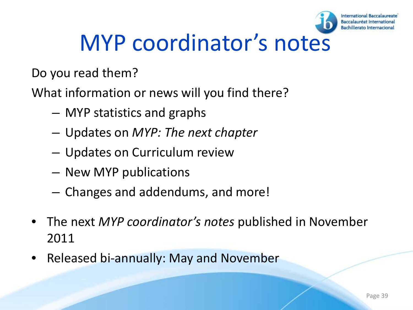

#### **International Baccalaureate**

### MYP coordinator's notes

Do you read them?

What information or news will you find there?

- MYP statistics and graphs
- Updates on *MYP: The next chapter*
- Updates on Curriculum review
- New MYP publications
- Changes and addendums, and more!
- The next *MYP coordinator's notes* published in November 2011
- Released bi-annually: May and November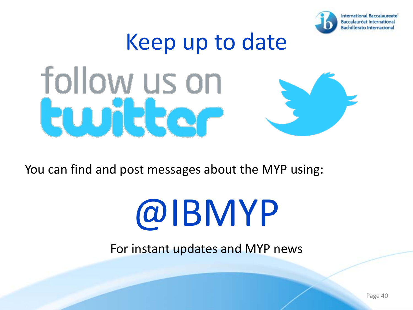

# Keep up to date follow us on **MERQ**

You can find and post messages about the MYP using:

# @IBMYP

For instant updates and MYP news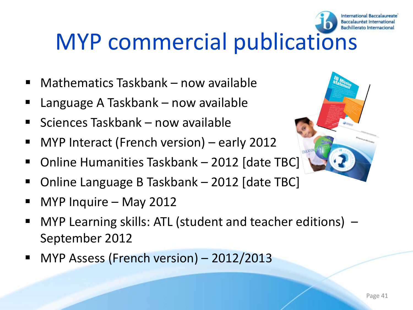## MYP commercial publications

- Mathematics Taskbank now available
- Language A Taskbank now available
- Sciences Taskbank now available
- MYP Interact (French version) early 2012
- Online Humanities Taskbank 2012 [date T[BC\]](http://store.ibo.org/index.php?cPath=22_36)
- Online Language B Taskbank 2012 [date TBC]
- MYP Inquire May 2012
- MYP Learning skills: ATL (student and teacher editions) September 2012
- MYP Assess (French version) 2012/2013





**International Baccalaureate** Baccalauréat Internationa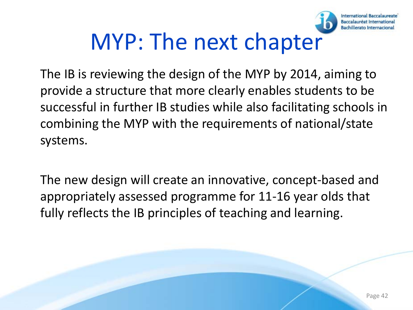### MYP: The next chapter

The IB is reviewing the design of the MYP by 2014, aiming to provide a structure that more clearly enables students to be successful in further IB studies while also facilitating schools in combining the MYP with the requirements of national/state systems.

The new design will create an innovative, concept-based and appropriately assessed programme for 11-16 year olds that fully reflects the IB principles of teaching and learning.

**International Baccalaureate** Baccalauréat International **Bachillerato Internaciona**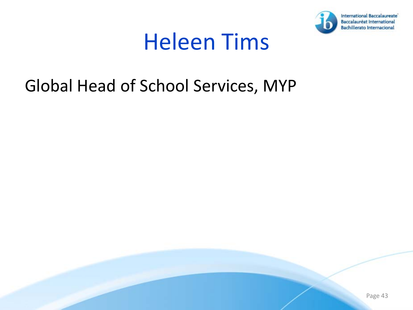

#### Heleen Tims

#### Global Head of School Services, MYP

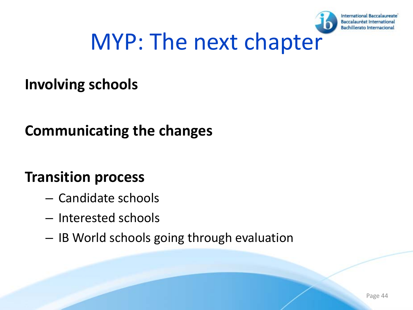

### MYP: The next chapter

#### **Involving schools**

#### **Communicating the changes**

#### **Transition process**

- Candidate schools
- Interested schools
- IB World schools going through evaluation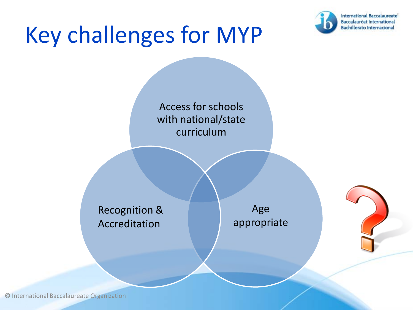### Key challenges for MYP



Access for schools with national/state curriculum Recognition & Accreditation Age appropriate

© International Baccalaureate Organization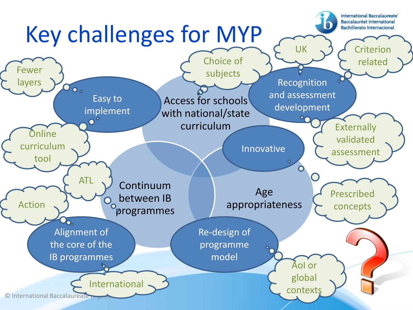#### **International Baccalaureate Baccalauréat International** Key challenges for MYP **Bachillerato Internacional** UK  $\leq$  2  $\neq$  Criterion Choice of related Fewer subjects Recognition layers 00. and assessment Easy to Access for schools development implement with national/state  $\bullet$ curriculum **Externally O**nline validated curriculum Innovative assessment tool ATL Continuum Age Prescribed between IB appropriateness Action concepts programmes Alignment of Re-design of the core of the programme  $\ddot{\text{o}}$ model IB programmes AoI or global Internationalcontexts © International Baccalaureate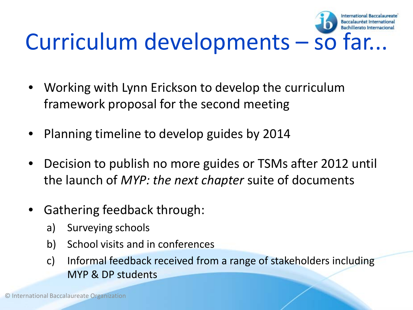#### Baccalauréat Internation Curriculum developments – so far...

**International Baccalaureate** 

- Working with Lynn Erickson to develop the curriculum framework proposal for the second meeting
- Planning timeline to develop guides by 2014
- Decision to publish no more guides or TSMs after 2012 until the launch of *MYP: the next chapter* suite of documents
- Gathering feedback through:
	- a) Surveying schools
	- b) School visits and in conferences
	- c) Informal feedback received from a range of stakeholders including MYP & DP students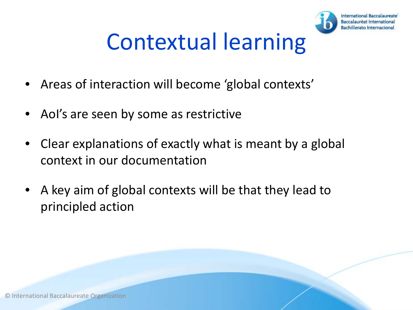

### Contextual learning

- Areas of interaction will become 'global contexts'
- Aol's are seen by some as restrictive
- Clear explanations of exactly what is meant by a global context in our documentation
- A key aim of global contexts will be that they lead to principled action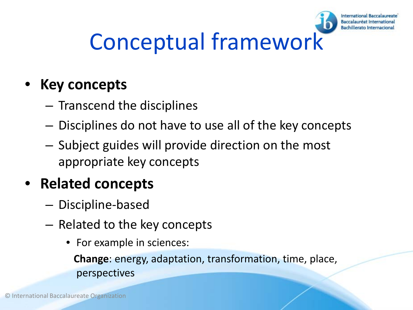# Conceptual framework

**International Baccalaureate** Baccalauréat Internationa Bachillerato Internacio

#### • **Key concepts**

- Transcend the disciplines
- Disciplines do not have to use all of the key concepts
- Subject guides will provide direction on the most appropriate key concepts

#### • **Related concepts**

- Discipline-based
- Related to the key concepts
	- For example in sciences:

**Change**: energy, adaptation, transformation, time, place, perspectives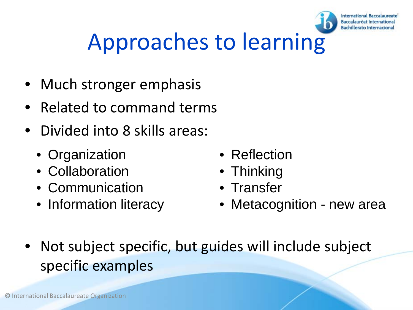

### Approaches to learning

- Much stronger emphasis
- Related to command terms
- Divided into 8 skills areas:
	- Organization
	- Collaboration
	- Communication
	- Information literacy
- Reflection
- Thinking
- Transfer
- Metacognition new area
- Not subject specific, but guides will include subject specific examples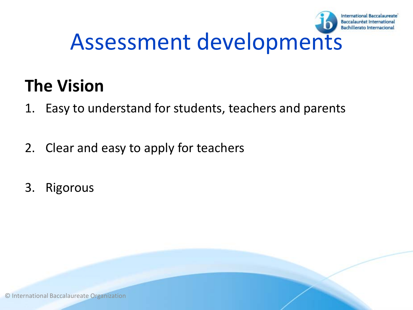

#### **The Vision**

- 1. Easy to understand for students, teachers and parents
- 2. Clear and easy to apply for teachers
- 3. Rigorous

© International Baccalaureate Organization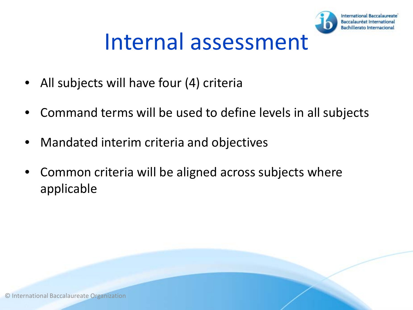

### Internal assessment

- All subjects will have four (4) criteria
- Command terms will be used to define levels in all subjects
- Mandated interim criteria and objectives
- Common criteria will be aligned across subjects where applicable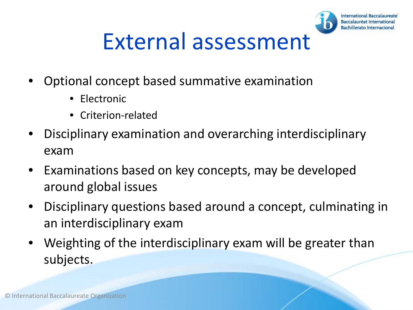

- Optional concept based summative examination
	- Electronic
	- Criterion-related
- Disciplinary examination and overarching interdisciplinary exam
- Examinations based on key concepts, may be developed around global issues
- Disciplinary questions based around a concept, culminating in an interdisciplinary exam
- Weighting of the interdisciplinary exam will be greater than subjects.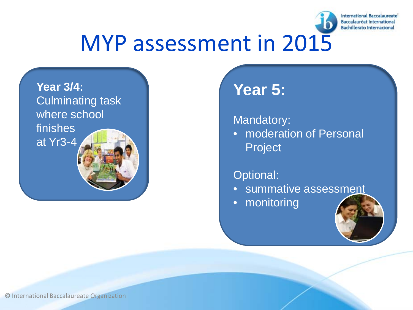

### MYP assessment in 2015



#### **Year 5:**

Mandatory:

• moderation of Personal Project

#### Optional:

- summative assessment
- monitoring



© International Baccalaureate Organization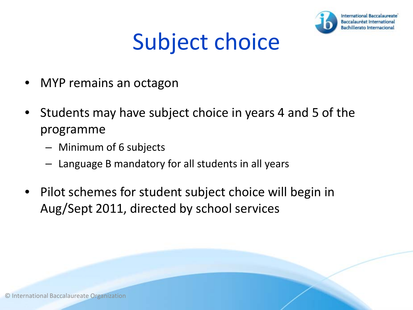

### Subject choice

- MYP remains an octagon
- Students may have subject choice in years 4 and 5 of the programme
	- Minimum of 6 subjects
	- Language B mandatory for all students in all years
- Pilot schemes for student subject choice will begin in Aug/Sept 2011, directed by school services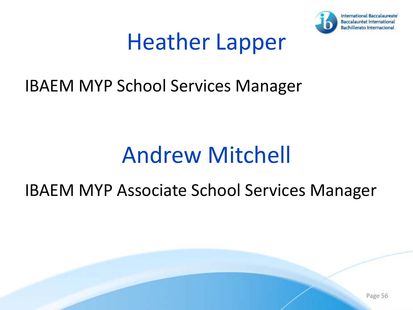

### Heather Lapper

#### IBAEM MYP School Services Manager

### Andrew Mitchell

#### IBAEM MYP Associate School Services Manager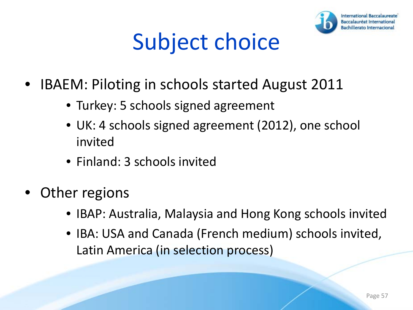

### Subject choice

- IBAEM: Piloting in schools started August 2011
	- Turkey: 5 schools signed agreement
	- UK: 4 schools signed agreement (2012), one school invited
	- Finland: 3 schools invited
- Other regions
	- IBAP: Australia, Malaysia and Hong Kong schools invited
	- IBA: USA and Canada (French medium) schools invited, Latin America (in selection process)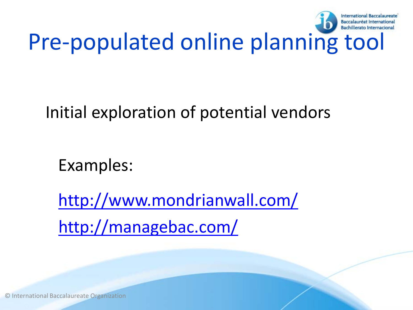

#### Initial exploration of potential vendors

Examples:

<http://www.mondrianwall.com/> <http://managebac.com/>

© International Baccalaureate Organization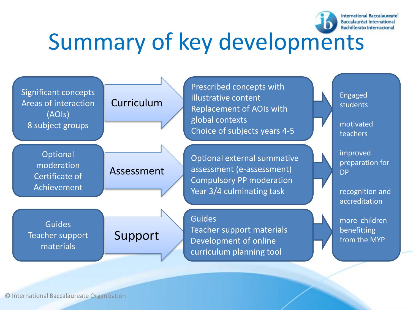

## Summary of key developments



© International Baccalaureate Organization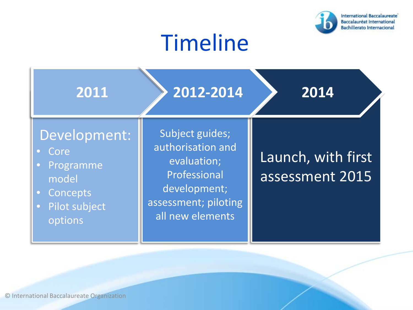

### Timeline

| 2011                                                                                                                      | 2012-2014                                                                                                                       | 2014                                  |
|---------------------------------------------------------------------------------------------------------------------------|---------------------------------------------------------------------------------------------------------------------------------|---------------------------------------|
| Development:<br>Core<br>Programme<br>$\bullet$<br>model<br>Concepts<br>$\bullet$<br>Pilot subject<br>$\bullet$<br>options | Subject guides;<br>authorisation and<br>evaluation;<br>Professional<br>development;<br>assessment; piloting<br>all new elements | Launch, with first<br>assessment 2015 |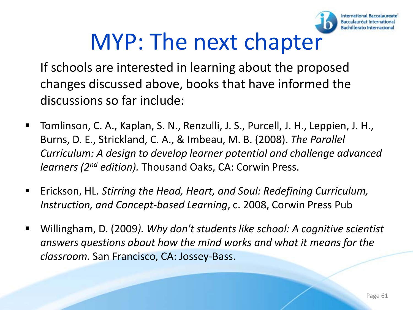

### MYP: The next chapter

- If schools are interested in learning about the proposed changes discussed above, books that have informed the discussions so far include:
- Tomlinson, C. A., Kaplan, S. N., Renzulli, J. S., Purcell, J. H., Leppien, J. H., Burns, D. E., Strickland, C. A., & Imbeau, M. B. (2008). *The Parallel Curriculum: A design to develop learner potential and challenge advanced learners (2nd edition).* Thousand Oaks, CA: Corwin Press.
- Erickson, HL*. Stirring the Head, Heart, and Soul: Redefining Curriculum, Instruction, and Concept-based Learning*, c. 2008, Corwin Press Pub
- Willingham, D. (2009*). Why don't students like school: A cognitive scientist answers questions about how the mind works and what it means for the classroom.* San Francisco, CA: Jossey-Bass.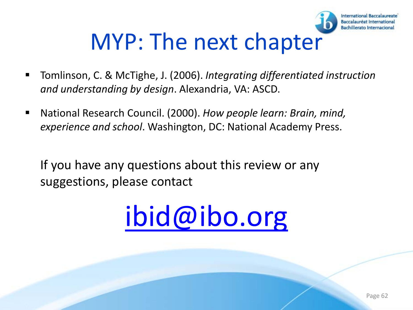## MYP: The next chapter

- Tomlinson, C. & McTighe, J. (2006). *Integrating differentiated instruction and understanding by design*. Alexandria, VA: ASCD.
- National Research Council. (2000). *How people learn: Brain, mind, experience and school*. Washington, DC: National Academy Press.

If you have any questions about this review or any suggestions, please contact



**International Baccalaureate** Baccalauréat International Bachillerato Internacional